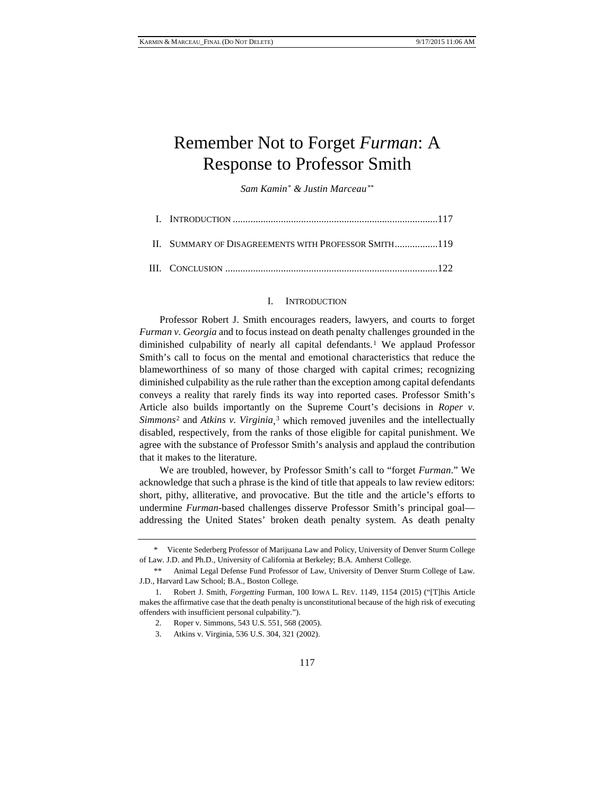## Remember Not to Forget *Furman*: A Response to Professor Smith

*Sam Kamin[\\*](#page-0-0) & Justin Marceau[\\*\\*](#page-0-1)*

| II. SUMMARY OF DISAGREEMENTS WITH PROFESSOR SMITH119 |  |
|------------------------------------------------------|--|
|                                                      |  |

## I. INTRODUCTION

Professor Robert J. Smith encourages readers, lawyers, and courts to forget *Furman v. Georgia* and to focus instead on death penalty challenges grounded in the diminished culpability of nearly all capital defendants.[1](#page-0-2) We applaud Professor Smith's call to focus on the mental and emotional characteristics that reduce the blameworthiness of so many of those charged with capital crimes; recognizing diminished culpability as the rule rather than the exception among capital defendants conveys a reality that rarely finds its way into reported cases. Professor Smith's Article also builds importantly on the Supreme Court's decisions in *Roper v. Simmons*[2](#page-0-3) and *Atkins v. Virginia*, [3](#page-0-4) which removed juveniles and the intellectually disabled, respectively, from the ranks of those eligible for capital punishment. We agree with the substance of Professor Smith's analysis and applaud the contribution that it makes to the literature.

We are troubled, however, by Professor Smith's call to "forget *Furman*." We acknowledge that such a phrase is the kind of title that appeals to law review editors: short, pithy, alliterative, and provocative. But the title and the article's efforts to undermine *Furman*-based challenges disserve Professor Smith's principal goal addressing the United States' broken death penalty system. As death penalty

<span id="page-0-0"></span><sup>\*</sup> Vicente Sederberg Professor of Marijuana Law and Policy, University of Denver Sturm College of Law. J.D. and Ph.D., University of California at Berkeley; B.A. Amherst College.

<span id="page-0-1"></span>Animal Legal Defense Fund Professor of Law, University of Denver Sturm College of Law. J.D., Harvard Law School; B.A., Boston College.

<span id="page-0-4"></span><span id="page-0-3"></span><span id="page-0-2"></span><sup>1.</sup> Robert J. Smith, *Forgetting* Furman, 100 IOWA L. REV. 1149, 1154 (2015) ("[T]his Article makes the affirmative case that the death penalty is unconstitutional because of the high risk of executing offenders with insufficient personal culpability.").

<sup>2.</sup> Roper v. Simmons, 543 U.S. 551, 568 (2005).

<sup>3.</sup> Atkins v. Virginia, 536 U.S. 304, 321 (2002).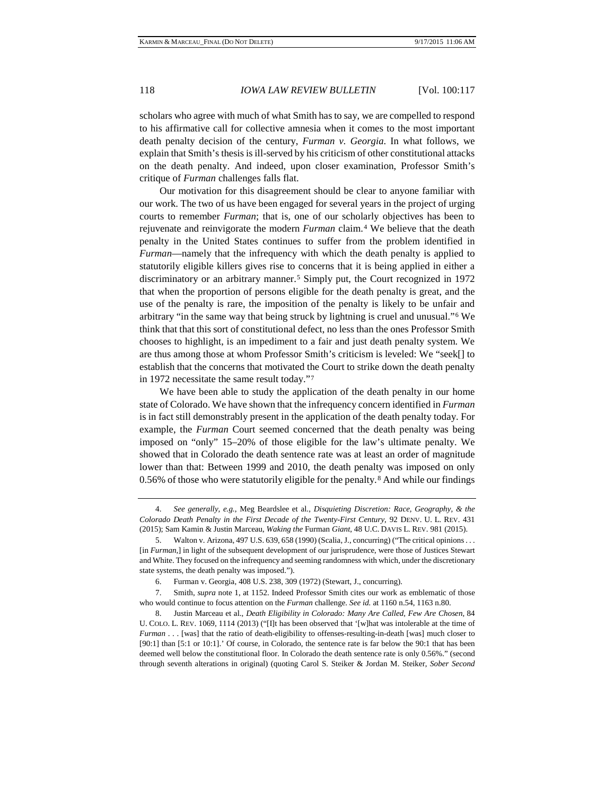scholars who agree with much of what Smith has to say, we are compelled to respond to his affirmative call for collective amnesia when it comes to the most important death penalty decision of the century, *Furman v. Georgia*. In what follows, we explain that Smith's thesis is ill-served by his criticism of other constitutional attacks on the death penalty. And indeed, upon closer examination, Professor Smith's critique of *Furman* challenges falls flat.

<span id="page-1-5"></span>Our motivation for this disagreement should be clear to anyone familiar with our work. The two of us have been engaged for several years in the project of urging courts to remember *Furman*; that is, one of our scholarly objectives has been to rejuvenate and reinvigorate the modern *Furman* claim.[4](#page-1-0) We believe that the death penalty in the United States continues to suffer from the problem identified in *Furman*—namely that the infrequency with which the death penalty is applied to statutorily eligible killers gives rise to concerns that it is being applied in either a discriminatory or an arbitrary manner.<sup>[5](#page-1-1)</sup> Simply put, the Court recognized in 1972 that when the proportion of persons eligible for the death penalty is great, and the use of the penalty is rare, the imposition of the penalty is likely to be unfair and arbitrary "in the same way that being struck by lightning is cruel and unusual."[6](#page-1-2) We think that that this sort of constitutional defect, no less than the ones Professor Smith chooses to highlight, is an impediment to a fair and just death penalty system. We are thus among those at whom Professor Smith's criticism is leveled: We "seek[] to establish that the concerns that motivated the Court to strike down the death penalty in 1972 necessitate the same result today."[7](#page-1-3)

We have been able to study the application of the death penalty in our home state of Colorado. We have shown that the infrequency concern identified in *Furman* is in fact still demonstrably present in the application of the death penalty today. For example, the *Furman* Court seemed concerned that the death penalty was being imposed on "only" 15–20% of those eligible for the law's ultimate penalty. We showed that in Colorado the death sentence rate was at least an order of magnitude lower than that: Between 1999 and 2010, the death penalty was imposed on only 0.56% of those who were statutorily eligible for the penalty.[8](#page-1-4) And while our findings

<span id="page-1-6"></span><span id="page-1-0"></span><sup>4.</sup> *See generally, e.g.*, Meg Beardslee et al., *Disquieting Discretion: Race, Geography, & the Colorado Death Penalty in the First Decade of the Twenty-First Century*, 92 DENV. U. L. REV. 431 (2015); Sam Kamin & Justin Marceau, *Waking the* Furman *Giant*, 48 U.C. DAVIS L. REV. 981 (2015).

<span id="page-1-1"></span><sup>5.</sup> Walton v. Arizona, 497 U.S. 639, 658 (1990) (Scalia, J., concurring) ("The critical opinions . . . [in *Furman*,] in light of the subsequent development of our jurisprudence, were those of Justices Stewart and White. They focused on the infrequency and seeming randomness with which, under the discretionary state systems, the death penalty was imposed.").

<sup>6.</sup> Furman v. Georgia, 408 U.S. 238, 309 (1972) (Stewart, J., concurring).

<span id="page-1-3"></span><span id="page-1-2"></span><sup>7.</sup> Smith, *supra* note 1, at 1152. Indeed Professor Smith cites our work as emblematic of those who would continue to focus attention on the *Furman* challenge. *See id.* at 1160 n.54, 1163 n.80.

<span id="page-1-4"></span><sup>8.</sup> Justin Marceau et al., *Death Eligibility in Colorado: Many Are Called, Few Are Chosen*, 84 U. COLO. L. REV. 1069, 1114 (2013) ("[I]t has been observed that '[w]hat was intolerable at the time of *Furman* . . . [was] that the ratio of death-eligibility to offenses-resulting-in-death [was] much closer to [90:1] than [5:1 or 10:1].' Of course, in Colorado, the sentence rate is far below the 90:1 that has been deemed well below the constitutional floor. In Colorado the death sentence rate is only 0.56%." (second through seventh alterations in original) (quoting Carol S. Steiker & Jordan M. Steiker, *Sober Second*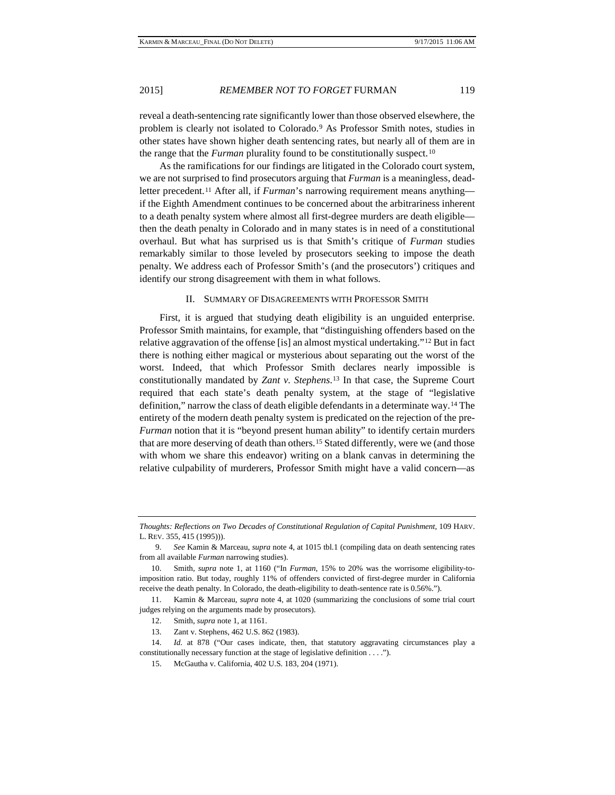reveal a death-sentencing rate significantly lower than those observed elsewhere, the problem is clearly not isolated to Colorado.[9](#page-2-0) As Professor Smith notes, studies in other states have shown higher death sentencing rates, but nearly all of them are in the range that the *Furman* plurality found to be constitutionally suspect.[10](#page-2-1)

As the ramifications for our findings are litigated in the Colorado court system, we are not surprised to find prosecutors arguing that *Furman* is a meaningless, deadletter precedent.[11](#page-2-2) After all, if *Furman*'s narrowing requirement means anything if the Eighth Amendment continues to be concerned about the arbitrariness inherent to a death penalty system where almost all first-degree murders are death eligible then the death penalty in Colorado and in many states is in need of a constitutional overhaul. But what has surprised us is that Smith's critique of *Furman* studies remarkably similar to those leveled by prosecutors seeking to impose the death penalty. We address each of Professor Smith's (and the prosecutors') critiques and identify our strong disagreement with them in what follows.

## II. SUMMARY OF DISAGREEMENTS WITH PROFESSOR SMITH

First, it is argued that studying death eligibility is an unguided enterprise. Professor Smith maintains, for example, that "distinguishing offenders based on the relative aggravation of the offense [is] an almost mystical undertaking."[12](#page-2-3) But in fact there is nothing either magical or mysterious about separating out the worst of the worst. Indeed, that which Professor Smith declares nearly impossible is constitutionally mandated by *Zant v. Stephens*.[13](#page-2-4) In that case, the Supreme Court required that each state's death penalty system, at the stage of "legislative definition," narrow the class of death eligible defendants in a determinate way.[14](#page-2-5) The entirety of the modern death penalty system is predicated on the rejection of the pre-*Furman* notion that it is "beyond present human ability" to identify certain murders that are more deserving of death than others.[15](#page-2-6) Stated differently, were we (and those with whom we share this endeavor) writing on a blank canvas in determining the relative culpability of murderers, Professor Smith might have a valid concern—as

13. Zant v. Stephens, 462 U.S. 862 (1983).

*Thoughts: Reflections on Two Decades of Constitutional Regulation of Capital Punishment*, 109 HARV. L. REV. 355, 415 (1995))).

<span id="page-2-0"></span><sup>9.</sup> *See* Kamin & Marceau, *supra* not[e 4,](#page-1-5) at 1015 tbl.1 (compiling data on death sentencing rates from all available *Furman* narrowing studies).

<span id="page-2-1"></span><sup>10.</sup> Smith, *supra* note 1, at 1160 ("In *Furman*, 15% to 20% was the worrisome eligibility-toimposition ratio. But today, roughly 11% of offenders convicted of first-degree murder in California receive the death penalty. In Colorado, the death-eligibility to death-sentence rate is 0.56%.").

<span id="page-2-3"></span><span id="page-2-2"></span><sup>11.</sup> Kamin & Marceau, *supra* note 4, at 1020 (summarizing the conclusions of some trial court judges relying on the arguments made by prosecutors).

<sup>12.</sup> Smith, *supra* note 1, at 1161.

<span id="page-2-6"></span><span id="page-2-5"></span><span id="page-2-4"></span><sup>14.</sup> *Id.* at 878 ("Our cases indicate, then, that statutory aggravating circumstances play a constitutionally necessary function at the stage of legislative definition . . . .").

<sup>15.</sup> McGautha v. California, 402 U.S. 183, 204 (1971).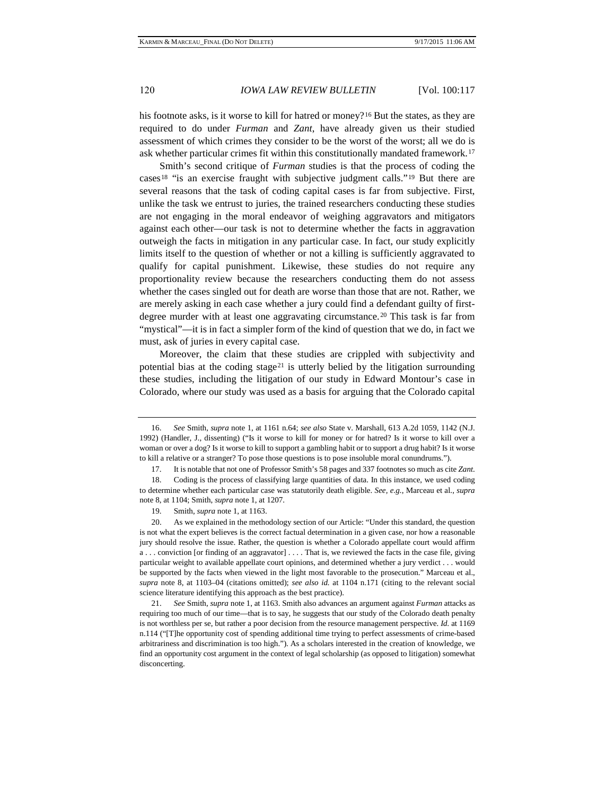his footnote asks, is it worse to kill for hatred or money?<sup>[16](#page-3-0)</sup> But the states, as they are required to do under *Furman* and *Zant*, have already given us their studied assessment of which crimes they consider to be the worst of the worst; all we do is ask whether particular crimes fit within this constitutionally mandated framework.[17](#page-3-1)

Smith's second critique of *Furman* studies is that the process of coding the cases[18](#page-3-2) "is an exercise fraught with subjective judgment calls."[19](#page-3-3) But there are several reasons that the task of coding capital cases is far from subjective. First, unlike the task we entrust to juries, the trained researchers conducting these studies are not engaging in the moral endeavor of weighing aggravators and mitigators against each other—our task is not to determine whether the facts in aggravation outweigh the facts in mitigation in any particular case. In fact, our study explicitly limits itself to the question of whether or not a killing is sufficiently aggravated to qualify for capital punishment. Likewise, these studies do not require any proportionality review because the researchers conducting them do not assess whether the cases singled out for death are worse than those that are not. Rather, we are merely asking in each case whether a jury could find a defendant guilty of first-degree murder with at least one aggravating circumstance.<sup>[20](#page-3-4)</sup> This task is far from "mystical"—it is in fact a simpler form of the kind of question that we do, in fact we must, ask of juries in every capital case.

Moreover, the claim that these studies are crippled with subjectivity and potential bias at the coding stage<sup>[21](#page-3-5)</sup> is utterly belied by the litigation surrounding these studies, including the litigation of our study in Edward Montour's case in Colorado, where our study was used as a basis for arguing that the Colorado capital

<span id="page-3-0"></span><sup>16.</sup> *See* Smith, *supra* note 1, at 1161 n.64; *see also* State v. Marshall, 613 A.2d 1059, 1142 (N.J. 1992) (Handler, J., dissenting) ("Is it worse to kill for money or for hatred? Is it worse to kill over a woman or over a dog? Is it worse to kill to support a gambling habit or to support a drug habit? Is it worse to kill a relative or a stranger? To pose those questions is to pose insoluble moral conundrums.").

<sup>17.</sup> It is notable that not one of Professor Smith's 58 pages and 337 footnotes so much as cite *Zant*.

<span id="page-3-2"></span><span id="page-3-1"></span><sup>18.</sup> Coding is the process of classifying large quantities of data. In this instance, we used coding to determine whether each particular case was statutorily death eligible. *See, e.g.*, Marceau et al., *supra* note [8,](#page-1-6) at 1104; Smith, *supra* note 1, at 1207.

<sup>19.</sup> Smith, *supra* note 1, at 1163.

<span id="page-3-4"></span><span id="page-3-3"></span><sup>20.</sup> As we explained in the methodology section of our Article: "Under this standard, the question is not what the expert believes is the correct factual determination in a given case, nor how a reasonable jury should resolve the issue. Rather, the question is whether a Colorado appellate court would affirm a . . . conviction [or finding of an aggravator] . . . . That is, we reviewed the facts in the case file, giving particular weight to available appellate court opinions, and determined whether a jury verdict . . . would be supported by the facts when viewed in the light most favorable to the prosecution." Marceau et al., *supra* note 8, at 1103–04 (citations omitted); *see also id.* at 1104 n.171 (citing to the relevant social science literature identifying this approach as the best practice).

<span id="page-3-5"></span><sup>21.</sup> *See* Smith, *supra* note 1, at 1163. Smith also advances an argument against *Furman* attacks as requiring too much of our time—that is to say, he suggests that our study of the Colorado death penalty is not worthless per se, but rather a poor decision from the resource management perspective. *Id.* at 1169 n.114 ("[T]he opportunity cost of spending additional time trying to perfect assessments of crime-based arbitrariness and discrimination is too high."). As a scholars interested in the creation of knowledge, we find an opportunity cost argument in the context of legal scholarship (as opposed to litigation) somewhat disconcerting.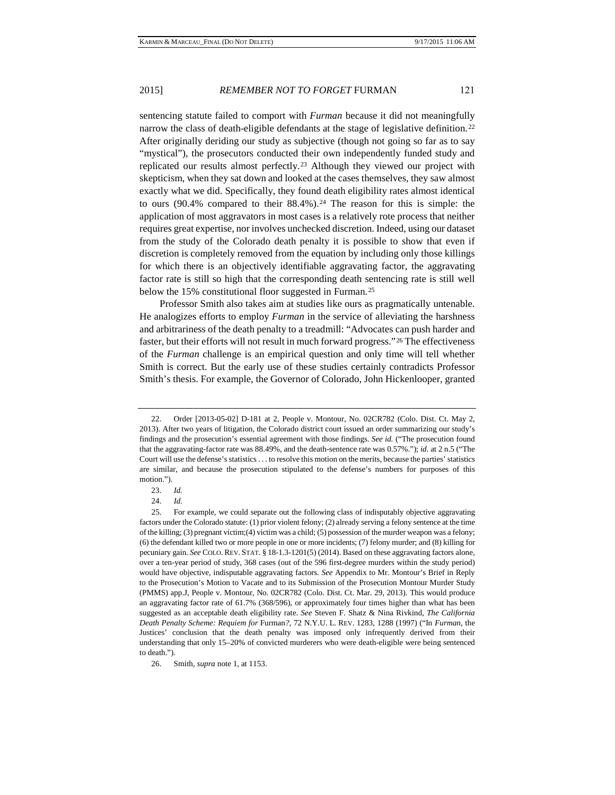sentencing statute failed to comport with *Furman* because it did not meaningfully narrow the class of death-eligible defendants at the stage of legislative definition.<sup>[22](#page-4-0)</sup> After originally deriding our study as subjective (though not going so far as to say "mystical"), the prosecutors conducted their own independently funded study and replicated our results almost perfectly.[23](#page-4-1) Although they viewed our project with skepticism, when they sat down and looked at the cases themselves, they saw almost exactly what we did. Specifically, they found death eligibility rates almost identical to ours  $(90.4\%$  compared to their  $88.4\%$ ).<sup>[24](#page-4-2)</sup> The reason for this is simple: the application of most aggravators in most cases is a relatively rote process that neither requires great expertise, nor involves unchecked discretion. Indeed, using our dataset from the study of the Colorado death penalty it is possible to show that even if discretion is completely removed from the equation by including only those killings for which there is an objectively identifiable aggravating factor, the aggravating factor rate is still so high that the corresponding death sentencing rate is still well below the 15% constitutional floor suggested in Furman.<sup>[25](#page-4-3)</sup>

Professor Smith also takes aim at studies like ours as pragmatically untenable. He analogizes efforts to employ *Furman* in the service of alleviating the harshness and arbitrariness of the death penalty to a treadmill: "Advocates can push harder and faster, but their efforts will not result in much forward progress."[26](#page-4-4) The effectiveness of the *Furman* challenge is an empirical question and only time will tell whether Smith is correct. But the early use of these studies certainly contradicts Professor Smith's thesis. For example, the Governor of Colorado, John Hickenlooper, granted

24. *Id.*

<span id="page-4-0"></span><sup>22.</sup> Order [2013-05-02] D-181 at 2, People v. Montour, No. 02CR782 (Colo. Dist. Ct. May 2, 2013). After two years of litigation, the Colorado district court issued an order summarizing our study's findings and the prosecution's essential agreement with those findings. *See id.* ("The prosecution found that the aggravating-factor rate was 88.49%, and the death-sentence rate was 0.57%."); *id.* at 2 n.5 ("The Court will use the defense's statistics . . . to resolve this motion on the merits, because the parties' statistics are similar, and because the prosecution stipulated to the defense's numbers for purposes of this motion.").

<sup>23.</sup> *Id.*

<span id="page-4-3"></span><span id="page-4-2"></span><span id="page-4-1"></span><sup>25.</sup> For example, we could separate out the following class of indisputably objective aggravating factors under the Colorado statute: (1) prior violent felony; (2) already serving a felony sentence at the time of the killing; (3) pregnant victim;(4) victim was a child; (5) possession of the murder weapon was a felony; (6) the defendant killed two or more people in one or more incidents; (7) felony murder; and (8) killing for pecuniary gain. *See* COLO. REV. STAT. § 18-1.3-1201(5) (2014). Based on these aggravating factors alone, over a ten-year period of study, 368 cases (out of the 596 first-degree murders within the study period) would have objective, indisputable aggravating factors. *See* Appendix to Mr. Montour's Brief in Reply to the Prosecution's Motion to Vacate and to its Submission of the Prosecution Montour Murder Study (PMMS) app.J, People v. Montour, No. 02CR782 (Colo. Dist. Ct. Mar. 29, 2013). This would produce an aggravating factor rate of 61.7% (368/596), or approximately four times higher than what has been suggested as an acceptable death eligibility rate. *See* Steven F. Shatz & Nina Rivkind, *The California Death Penalty Scheme: Requiem for* Furman*?*, 72 N.Y.U. L. REV. 1283, 1288 (1997) ("In *Furman*, the Justices' conclusion that the death penalty was imposed only infrequently derived from their understanding that only 15–20% of convicted murderers who were death-eligible were being sentenced to death.").

<span id="page-4-4"></span><sup>26.</sup> Smith, *supra* note 1, at 1153.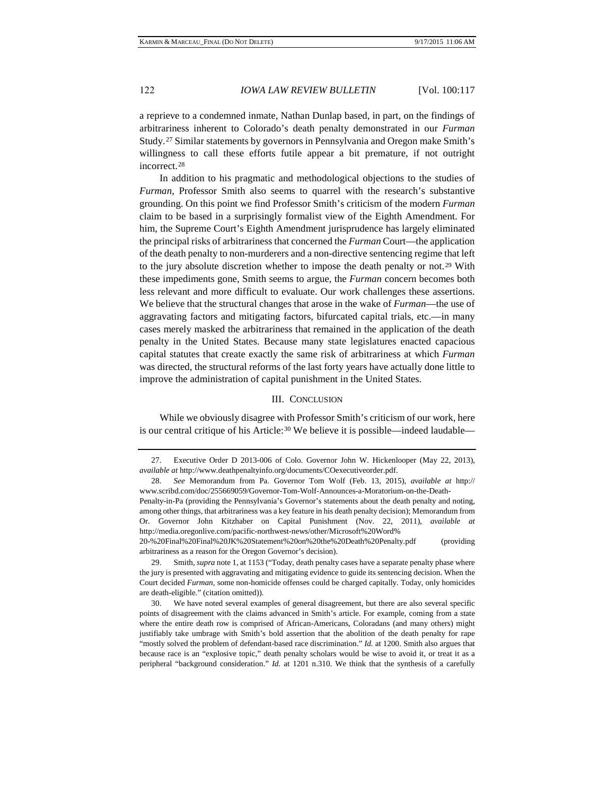a reprieve to a condemned inmate, Nathan Dunlap based, in part, on the findings of arbitrariness inherent to Colorado's death penalty demonstrated in our *Furman* Study.[27](#page-5-0) Similar statements by governors in Pennsylvania and Oregon make Smith's willingness to call these efforts futile appear a bit premature, if not outright incorrect.[28](#page-5-1)

In addition to his pragmatic and methodological objections to the studies of *Furman*, Professor Smith also seems to quarrel with the research's substantive grounding. On this point we find Professor Smith's criticism of the modern *Furman* claim to be based in a surprisingly formalist view of the Eighth Amendment. For him, the Supreme Court's Eighth Amendment jurisprudence has largely eliminated the principal risks of arbitrariness that concerned the *Furman* Court—the application of the death penalty to non-murderers and a non-directive sentencing regime that left to the jury absolute discretion whether to impose the death penalty or not.[29](#page-5-2) With these impediments gone, Smith seems to argue, the *Furman* concern becomes both less relevant and more difficult to evaluate. Our work challenges these assertions. We believe that the structural changes that arose in the wake of *Furman*—the use of aggravating factors and mitigating factors, bifurcated capital trials, etc.—in many cases merely masked the arbitrariness that remained in the application of the death penalty in the United States. Because many state legislatures enacted capacious capital statutes that create exactly the same risk of arbitrariness at which *Furman* was directed, the structural reforms of the last forty years have actually done little to improve the administration of capital punishment in the United States.

## III. CONCLUSION

While we obviously disagree with Professor Smith's criticism of our work, here is our central critique of his Article: $30$  We believe it is possible—indeed laudable—

20-%20Final%20Final%20JK%20Statement%20on%20the%20Death%20Penalty.pdf (providing arbitrariness as a reason for the Oregon Governor's decision).

<span id="page-5-0"></span><sup>27.</sup> Executive Order D 2013-006 of Colo. Governor John W. Hickenlooper (May 22, 2013), *available at* http://www.deathpenaltyinfo.org/documents/COexecutiveorder.pdf.

<span id="page-5-1"></span><sup>28.</sup> *See* Memorandum from Pa. Governor Tom Wolf (Feb. 13, 2015), *available at* http:// www.scribd.com/doc/255669059/Governor-Tom-Wolf-Announces-a-Moratorium-on-the-Death-

Penalty-in-Pa (providing the Pennsylvania's Governor's statements about the death penalty and noting, among other things, that arbitrariness was a key feature in his death penalty decision); Memorandum from Or. Governor John Kitzhaber on Capital Punishment (Nov. 22, 2011), *available at* http://media.oregonlive.com/pacific-northwest-news/other/Microsoft%20Word%

<span id="page-5-2"></span><sup>29.</sup> Smith, *supra* note 1, at 1153 ("Today, death penalty cases have a separate penalty phase where the jury is presented with aggravating and mitigating evidence to guide its sentencing decision. When the Court decided *Furman*, some non-homicide offenses could be charged capitally. Today, only homicides are death-eligible." (citation omitted)).

<span id="page-5-3"></span><sup>30.</sup> We have noted several examples of general disagreement, but there are also several specific points of disagreement with the claims advanced in Smith's article. For example, coming from a state where the entire death row is comprised of African-Americans, Coloradans (and many others) might justifiably take umbrage with Smith's bold assertion that the abolition of the death penalty for rape "mostly solved the problem of defendant-based race discrimination." *Id.* at 1200. Smith also argues that because race is an "explosive topic," death penalty scholars would be wise to avoid it, or treat it as a peripheral "background consideration." *Id.* at 1201 n.310. We think that the synthesis of a carefully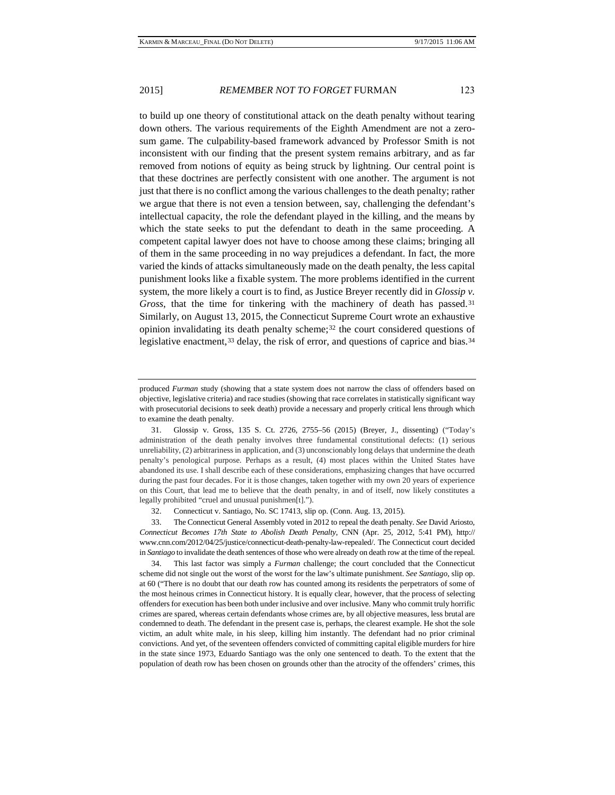to build up one theory of constitutional attack on the death penalty without tearing down others. The various requirements of the Eighth Amendment are not a zerosum game. The culpability-based framework advanced by Professor Smith is not inconsistent with our finding that the present system remains arbitrary, and as far removed from notions of equity as being struck by lightning. Our central point is that these doctrines are perfectly consistent with one another. The argument is not just that there is no conflict among the various challenges to the death penalty; rather we argue that there is not even a tension between, say, challenging the defendant's intellectual capacity, the role the defendant played in the killing, and the means by which the state seeks to put the defendant to death in the same proceeding. A competent capital lawyer does not have to choose among these claims; bringing all of them in the same proceeding in no way prejudices a defendant. In fact, the more varied the kinds of attacks simultaneously made on the death penalty, the less capital punishment looks like a fixable system. The more problems identified in the current system, the more likely a court is to find, as Justice Breyer recently did in *Glossip v. Gross*, that the time for tinkering with the machinery of death has passed.[31](#page-6-0) Similarly, on August 13, 2015, the Connecticut Supreme Court wrote an exhaustive opinion invalidating its death penalty scheme; $32$  the court considered questions of legislative enactment,[33](#page-6-2) delay, the risk of error, and questions of caprice and bias[.34](#page-6-3)

<span id="page-6-3"></span>34. This last factor was simply a *Furman* challenge; the court concluded that the Connecticut scheme did not single out the worst of the worst for the law's ultimate punishment. *See Santiago*, slip op. at 60 ("There is no doubt that our death row has counted among its residents the perpetrators of some of the most heinous crimes in Connecticut history. It is equally clear, however, that the process of selecting offenders for execution has been both under inclusive and over inclusive. Many who commit truly horrific crimes are spared, whereas certain defendants whose crimes are, by all objective measures, less brutal are condemned to death. The defendant in the present case is, perhaps, the clearest example. He shot the sole victim, an adult white male, in his sleep, killing him instantly. The defendant had no prior criminal convictions. And yet, of the seventeen offenders convicted of committing capital eligible murders for hire in the state since 1973, Eduardo Santiago was the only one sentenced to death. To the extent that the population of death row has been chosen on grounds other than the atrocity of the offenders' crimes, this

produced *Furman* study (showing that a state system does not narrow the class of offenders based on objective, legislative criteria) and race studies (showing that race correlates in statistically significant way with prosecutorial decisions to seek death) provide a necessary and properly critical lens through which to examine the death penalty.

<span id="page-6-0"></span><sup>31.</sup> Glossip v. Gross, 135 S. Ct. 2726, 2755–56 (2015) (Breyer, J., dissenting) ("Today's administration of the death penalty involves three fundamental constitutional defects: (1) serious unreliability, (2) arbitrariness in application, and (3) unconscionably long delays that undermine the death penalty's penological purpose. Perhaps as a result, (4) most places within the United States have abandoned its use. I shall describe each of these considerations, emphasizing changes that have occurred during the past four decades. For it is those changes, taken together with my own 20 years of experience on this Court, that lead me to believe that the death penalty, in and of itself, now likely constitutes a legally prohibited "cruel and unusual punishmen[t].").

<sup>32.</sup> Connecticut v. Santiago, No. SC 17413, slip op. (Conn. Aug. 13, 2015).

<span id="page-6-2"></span><span id="page-6-1"></span><sup>33.</sup> The Connecticut General Assembly voted in 2012 to repeal the death penalty. *See* David Ariosto, *Connecticut Becomes 17th State to Abolish Death Penalty*, CNN (Apr. 25, 2012, 5:41 PM), http:// www.cnn.com/2012/04/25/justice/connecticut-death-penalty-law-repealed/. The Connecticut court decided in *Santiago* to invalidate the death sentences of those who were already on death row at the time of the repeal.